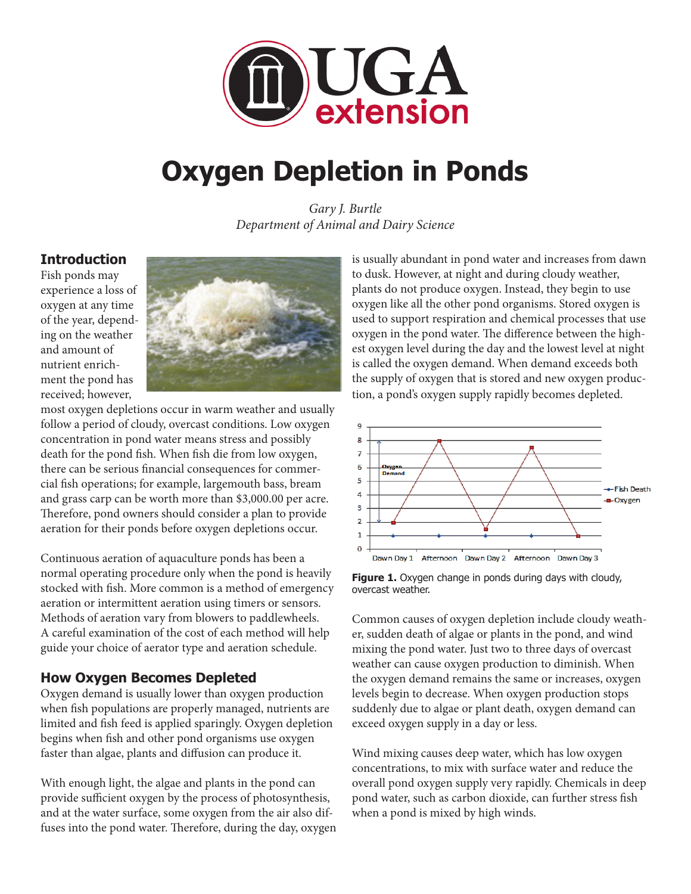

# **Oxygen Depletion in Ponds**

*Gary J. Burtle Department of Animal and Dairy Science*

# **Introduction**

Fish ponds may experience a loss of oxygen at any time of the year, depending on the weather and amount of nutrient enrichment the pond has received; however,



most oxygen depletions occur in warm weather and usually follow a period of cloudy, overcast conditions. Low oxygen concentration in pond water means stress and possibly death for the pond fish. When fish die from low oxygen, there can be serious financial consequences for commercial fish operations; for example, largemouth bass, bream and grass carp can be worth more than \$3,000.00 per acre. Therefore, pond owners should consider a plan to provide aeration for their ponds before oxygen depletions occur.

Continuous aeration of aquaculture ponds has been a normal operating procedure only when the pond is heavily stocked with fish. More common is a method of emergency aeration or intermittent aeration using timers or sensors. Methods of aeration vary from blowers to paddlewheels. A careful examination of the cost of each method will help guide your choice of aerator type and aeration schedule.

# **How Oxygen Becomes Depleted**

Oxygen demand is usually lower than oxygen production when fish populations are properly managed, nutrients are limited and fish feed is applied sparingly. Oxygen depletion begins when fish and other pond organisms use oxygen faster than algae, plants and diffusion can produce it.

With enough light, the algae and plants in the pond can provide sufficient oxygen by the process of photosynthesis, and at the water surface, some oxygen from the air also diffuses into the pond water. Therefore, during the day, oxygen is usually abundant in pond water and increases from dawn to dusk. However, at night and during cloudy weather, plants do not produce oxygen. Instead, they begin to use oxygen like all the other pond organisms. Stored oxygen is used to support respiration and chemical processes that use oxygen in the pond water. The difference between the highest oxygen level during the day and the lowest level at night is called the oxygen demand. When demand exceeds both the supply of oxygen that is stored and new oxygen production, a pond's oxygen supply rapidly becomes depleted.



**Figure 1.** Oxygen change in ponds during days with cloudy, overcast weather.

Common causes of oxygen depletion include cloudy weather, sudden death of algae or plants in the pond, and wind mixing the pond water. Just two to three days of overcast weather can cause oxygen production to diminish. When the oxygen demand remains the same or increases, oxygen levels begin to decrease. When oxygen production stops suddenly due to algae or plant death, oxygen demand can exceed oxygen supply in a day or less.

Wind mixing causes deep water, which has low oxygen concentrations, to mix with surface water and reduce the overall pond oxygen supply very rapidly. Chemicals in deep pond water, such as carbon dioxide, can further stress fish when a pond is mixed by high winds.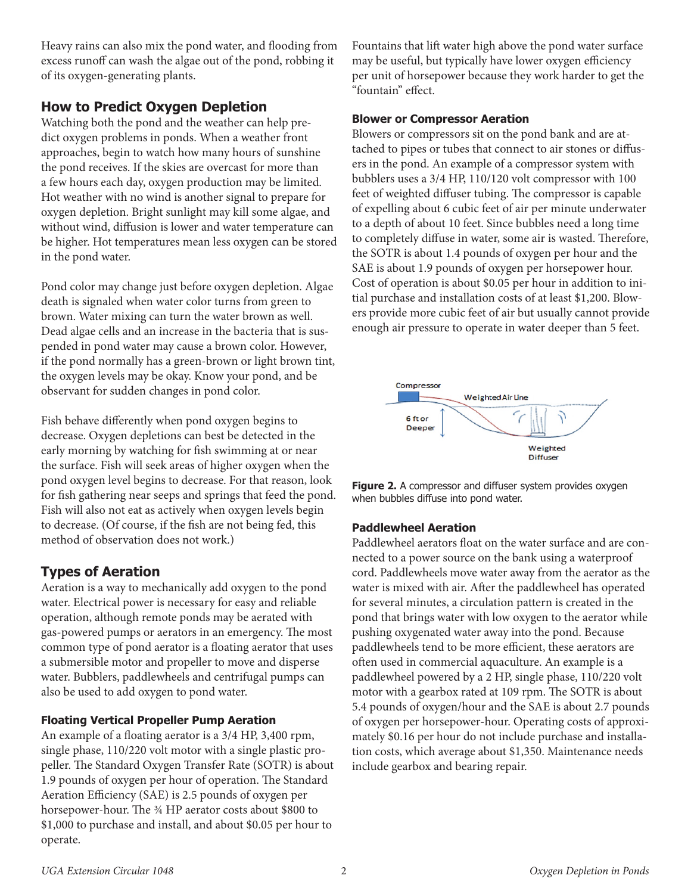Heavy rains can also mix the pond water, and flooding from excess runoff can wash the algae out of the pond, robbing it of its oxygen-generating plants.

# **How to Predict Oxygen Depletion**

Watching both the pond and the weather can help predict oxygen problems in ponds. When a weather front approaches, begin to watch how many hours of sunshine the pond receives. If the skies are overcast for more than a few hours each day, oxygen production may be limited. Hot weather with no wind is another signal to prepare for oxygen depletion. Bright sunlight may kill some algae, and without wind, diffusion is lower and water temperature can be higher. Hot temperatures mean less oxygen can be stored in the pond water.

Pond color may change just before oxygen depletion. Algae death is signaled when water color turns from green to brown. Water mixing can turn the water brown as well. Dead algae cells and an increase in the bacteria that is suspended in pond water may cause a brown color. However, if the pond normally has a green-brown or light brown tint, the oxygen levels may be okay. Know your pond, and be observant for sudden changes in pond color.

Fish behave differently when pond oxygen begins to decrease. Oxygen depletions can best be detected in the early morning by watching for fish swimming at or near the surface. Fish will seek areas of higher oxygen when the pond oxygen level begins to decrease. For that reason, look for fish gathering near seeps and springs that feed the pond. Fish will also not eat as actively when oxygen levels begin to decrease. (Of course, if the fish are not being fed, this method of observation does not work.)

# **Types of Aeration**

Aeration is a way to mechanically add oxygen to the pond water. Electrical power is necessary for easy and reliable operation, although remote ponds may be aerated with gas-powered pumps or aerators in an emergency. The most common type of pond aerator is a floating aerator that uses a submersible motor and propeller to move and disperse water. Bubblers, paddlewheels and centrifugal pumps can also be used to add oxygen to pond water.

### **Floating Vertical Propeller Pump Aeration**

An example of a floating aerator is a 3/4 HP, 3,400 rpm, single phase, 110/220 volt motor with a single plastic propeller. The Standard Oxygen Transfer Rate (SOTR) is about 1.9 pounds of oxygen per hour of operation. The Standard Aeration Efficiency (SAE) is 2.5 pounds of oxygen per horsepower-hour. The 34 HP aerator costs about \$800 to \$1,000 to purchase and install, and about \$0.05 per hour to operate.

Fountains that lift water high above the pond water surface may be useful, but typically have lower oxygen efficiency per unit of horsepower because they work harder to get the "fountain" effect.

#### **Blower or Compressor Aeration**

Blowers or compressors sit on the pond bank and are attached to pipes or tubes that connect to air stones or diffusers in the pond. An example of a compressor system with bubblers uses a 3/4 HP, 110/120 volt compressor with 100 feet of weighted diffuser tubing. The compressor is capable of expelling about 6 cubic feet of air per minute underwater to a depth of about 10 feet. Since bubbles need a long time to completely diffuse in water, some air is wasted. Therefore, the SOTR is about 1.4 pounds of oxygen per hour and the SAE is about 1.9 pounds of oxygen per horsepower hour. Cost of operation is about \$0.05 per hour in addition to initial purchase and installation costs of at least \$1,200. Blowers provide more cubic feet of air but usually cannot provide enough air pressure to operate in water deeper than 5 feet.



**Figure 2.** A compressor and diffuser system provides oxygen when bubbles diffuse into pond water.

### **Paddlewheel Aeration**

Paddlewheel aerators float on the water surface and are connected to a power source on the bank using a waterproof cord. Paddlewheels move water away from the aerator as the water is mixed with air. After the paddlewheel has operated for several minutes, a circulation pattern is created in the pond that brings water with low oxygen to the aerator while pushing oxygenated water away into the pond. Because paddlewheels tend to be more efficient, these aerators are often used in commercial aquaculture. An example is a paddlewheel powered by a 2 HP, single phase, 110/220 volt motor with a gearbox rated at 109 rpm. The SOTR is about 5.4 pounds of oxygen/hour and the SAE is about 2.7 pounds of oxygen per horsepower-hour. Operating costs of approximately \$0.16 per hour do not include purchase and installation costs, which average about \$1,350. Maintenance needs include gearbox and bearing repair.